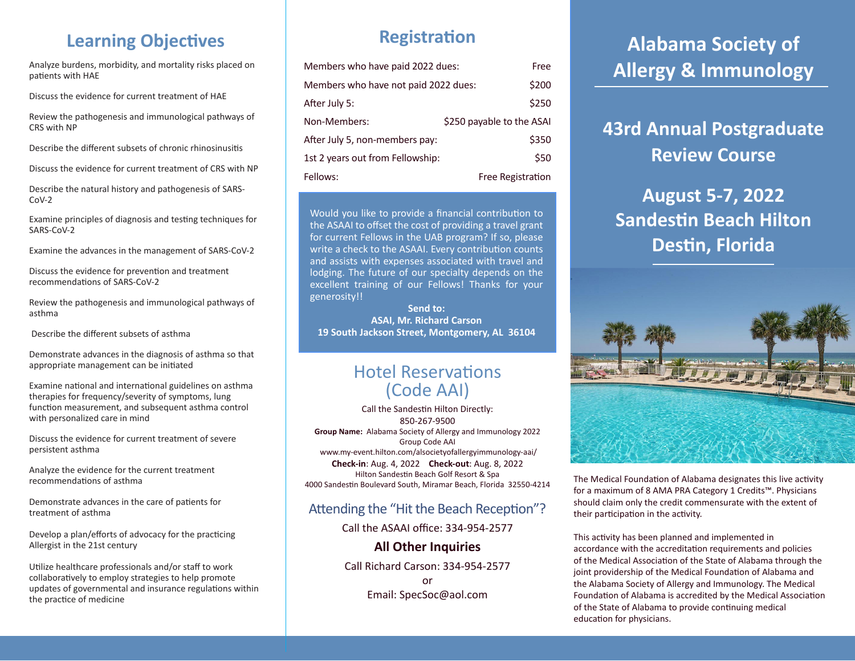## **Learning Objectives**

Analyze burdens, morbidity, and mortality risks placed on patients with HAE

Discuss the evidence for current treatment of HAE

Review the pathogenesis and immunological pathways of CRS with NP

Describe the different subsets of chronic rhinosinusitis

Discuss the evidence for current treatment of CRS with NP

Describe the natural history and pathogenesis of SARS-CoV-2

Examine principles of diagnosis and testing techniques for SARS-CoV-2

Examine the advances in the management of SARS-CoV-2

Discuss the evidence for prevention and treatment recommendations of SARS-CoV-2

Review the pathogenesis and immunological pathways of asthma

Describe the different subsets of asthma

Demonstrate advances in the diagnosis of asthma so that appropriate management can be initiated

Examine national and international guidelines on asthma therapies for frequency/severity of symptoms, lung function measurement, and subsequent asthma control with personalized care in mind

Discuss the evidence for current treatment of severe persistent asthma

Analyze the evidence for the current treatment recommendations of asthma

Demonstrate advances in the care of patients for treatment of asthma

Develop a plan/efforts of advocacy for the practicing Allergist in the 21st century

Utilize healthcare professionals and/or staff to work collaboratively to employ strategies to help promote updates of governmental and insurance regulations within the practice of medicine

### **Registration**

| Members who have paid 2022 dues:     | Free                      |
|--------------------------------------|---------------------------|
| Members who have not paid 2022 dues: |                           |
| After July 5:                        | \$250                     |
| Non-Members:                         | \$250 payable to the ASAI |
| After July 5, non-members pay:       | \$350                     |
| 1st 2 years out from Fellowship:     | \$50                      |
| Fellows:                             | <b>Free Registration</b>  |

Would you like to provide a financial contribution to the ASAAI to offset the cost of providing a travel grant for current Fellows in the UAB program? If so, please write a check to the ASAAI. Every contribution counts and assists with expenses associated with travel and lodging. The future of our specialty depends on the excellent training of our Fellows! Thanks for your generosity!!

**Send to: ASAI, Mr. Richard Carson 19 South Jackson Street, Montgomery, AL 36104**

### Hotel Reservations (Code AAI)

Call the Sandestin Hilton Directly: 850-267-9500 **Group Name:** Alabama Society of Allergy and Immunology 2022 Group Code AAI www.my-event.hilton.com/alsocietyofallergyimmunology-aai/ **Check-in**: Aug. 4, 2022 **Check-out**: Aug. 8, 2022 Hilton Sandestin Beach Golf Resort & Spa 4000 Sandestin Boulevard South, Miramar Beach, Florida 32550-4214

#### Attending the "Hit the Beach Reception"?

Call the ASAAI office: 334-954-2577

#### **All Other Inquiries**

Call Richard Carson: 334-954-2577 or Email: SpecSoc@aol.com

# **Alabama Society of Allergy & Immunology**

## **43rd Annual Postgraduate Review Course**

## **August 5-7, 2022 Sandestin Beach Hilton Destin, Florida**



The Medical Foundation of Alabama designates this live activity for a maximum of 8 AMA PRA Category 1 Credits™. Physicians should claim only the credit commensurate with the extent of their participation in the activity.

This activity has been planned and implemented in accordance with the accreditation requirements and policies of the Medical Association of the State of Alabama through the joint providership of the Medical Foundation of Alabama and the Alabama Society of Allergy and Immunology. The Medical Foundation of Alabama is accredited by the Medical Association of the State of Alabama to provide continuing medical education for physicians.